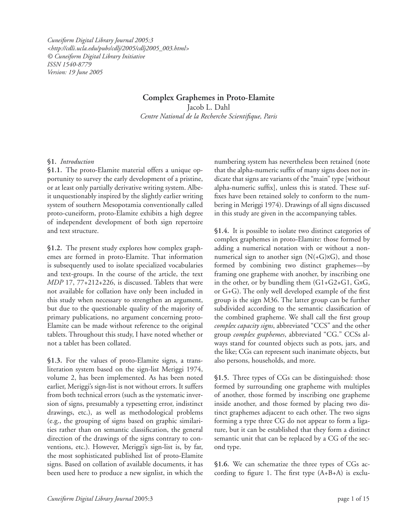*Cuneiform Digital Library Journal 2005:3 <http://cdli.ucla.edu/pubs/cdlj/2005/cdlj2005\_003.html> © Cuneiform Digital Library Initiative ISSN 1540-8779 Version: 19 June 2005*

# **Complex Graphemes in Proto-Elamite**

Jacob L. Dahl Centre National de la Recherche Scientifique, Paris

## **§1.** *Introduction*

**§1.1.** The proto-Elamite material offers a unique opportunity to survey the early development of a pristine, or at least only partially derivative writing system. Albeit unquestionably inspired by the slightly earlier writing system of southern Mesopotamia conventionally called proto-cuneiform, proto-Elamite exhibits a high degree of independent development of both sign repertoire and text structure.

**§1.2.** The present study explores how complex graphemes are formed in proto-Elamite. That information is subsequently used to isolate specialized vocabularies and text-groups. In the course of the article, the text *MDP* 17, 77+212+226, is discussed. Tablets that were not available for collation have only been included in this study when necessary to strengthen an argument, but due to the questionable quality of the majority of primary publications, no argument concerning proto-Elamite can be made without reference to the original tablets. Throughout this study, I have noted whether or not a tablet has been collated.

**§1.3.** For the values of proto-Elamite signs, a transliteration system based on the sign-list Meriggi 1974, volume 2, has been implemented. As has been noted earlier, Meriggi's sign-list is not without errors. It suffers from both technical errors (such as the systematic inversion of signs, presumably a typesetting error, indistinct drawings, etc.), as well as methodological problems (e.g., the grouping of signs based on graphic similarities rather than on semantic classification, the general direction of the drawings of the signs contrary to conventions, etc.). However, Meriggi's sign-list is, by far, the most sophisticated published list of proto-Elamite signs. Based on collation of available documents, it has been used here to produce a new signlist, in which the numbering system has nevertheless been retained (note that the alpha-numeric suffix of many signs does not indicate that signs are variants of the "main" type [without alpha-numeric suffix], unless this is stated. These suffixes have been retained solely to conform to the numbering in Meriggi 1974). Drawings of all signs discussed in this study are given in the accompanying tables.

**§1.4.** It is possible to isolate two distinct categories of complex graphemes in proto-Elamite: those formed by adding a numerical notation with or without a nonnumerical sign to another sign  $(N(+G)x)$ , and those formed by combining two distinct graphemes—by framing one grapheme with another, by inscribing one in the other, or by bundling them  $(G1+G2+G1, G\times G,$ or G+G). The only well developed example of the first group is the sign M36. The latter group can be further subdivided according to the semantic classification of the combined grapheme. We shall call the first group *complex capacity signs*, abbreviated "CCS" and the other group *complex graphemes*, abbreviated "CG." CCSs always stand for counted objects such as pots, jars, and the like; CGs can represent such inanimate objects, but also persons, households, and more.

**§1.5.** Three types of CGs can be distinguished: those formed by surrounding one grapheme with multiples of another, those formed by inscribing one grapheme inside another, and those formed by placing two distinct graphemes adjacent to each other. The two signs forming a type three CG do not appear to form a ligature, but it can be established that they form a distinct semantic unit that can be replaced by a CG of the second type.

**§1.6.** We can schematize the three types of CGs according to figure 1. The first type  $(A+B+A)$  is exclu-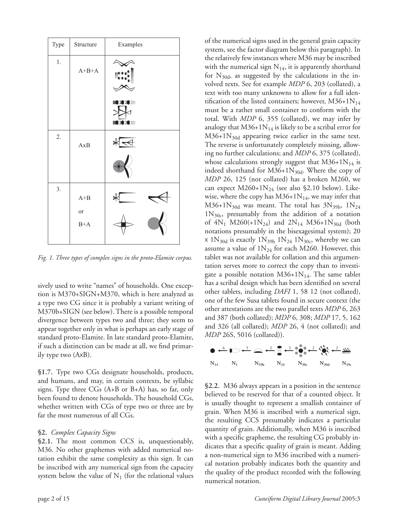

*Fig. 1. Three types of complex signs in the proto-Elamite corpus.* 

sively used to write "names" of households. One exception is M370+SIGN+M370, which is here analyzed as a type two CG since it is probably a variant writing of M370b+SIGN (see below). There is a possible temporal divergence between types two and three; they seem to appear together only in what is perhaps an early stage of standard proto-Elamite. In late standard proto-Elamite, if such a distinction can be made at all, we find primarily type two (AxB).

**§1.7.** Type two CGs designate households, products, and humans, and may, in certain contexts, be syllabic signs. Type three CGs (A+B or B+A) has, so far, only been found to denote households. The household CGs, whether written with CGs of type two or three are by far the most numerous of all CGs.

### **§2.** *Complex Capacity Signs*

**§2.1.** The most common CCS is, unquestionably, M36. No other graphemes with added numerical notation exhibit the same complexity as this sign. It can be inscribed with any numerical sign from the capacity system below the value of  $N_1$  (for the relational values of the numerical signs used in the general grain capacity system, see the factor diagram below this paragraph). In the relatively few instances where M36 may be inscribed with the numerical sign  $N_{14}$ , it is apparently shorthand for  $N_{30d}$ , as suggested by the calculations in the involved texts. See for example *MDP* 6, 203 (collated), a text with too many unknowns to allow for a full identification of the listed containers; however,  $M36+1N_{14}$ must be a rather small container to conform with the total. With *MDP* 6, 355 (collated), we may infer by analogy that  $M36+1N_{14}$  is likely to be a scribal error for  $M36+1N_{30d}$  appearing twice earlier in the same text. The reverse is unfortunately completely missing, allowing no further calculations; and *MDP* 6, 375 (collated), whose calculations strongly suggest that  $M36+1N_{14}$  is indeed shorthand for  $M36+1N_{30d}$ . Where the copy of *MDP* 26, 125 (not collated) has a broken M260, we can expect  $M260+1N_{24}$  (see also \$2.10 below). Likewise, where the copy has  $M36+1N_{14}$ , we may infer that  $M36+1N_{30d}$  was meant. The total has  $3N_{39b}$ ,  $1N_{24}$  $1N_{30c}$ , presumably from the addition of a notation of  $4N_1$  M260(+1N<sub>24</sub>) and  $2N_{14}$  M36+1N<sub>30d</sub> (both notations presumably in the bisexagesimal system); 20  $\times$  1N<sub>30d</sub> is exactly 1N<sub>39b</sub> 1N<sub>24</sub> 1N<sub>30c</sub>, whereby we can assume a value of  $1N_{24}$  for each M260. However, this tablet was not available for collation and this argumentation serves more to correct the copy than to investigate a possible notation  $M36+1N_{14}$ . The same tablet has a scribal design which has been identified on several other tablets, including *DAFI* 1, 58 12 (not collated), one of the few Susa tablets found in secure context (the other attestations are the two parallel texts *MDP* 6, 263 and 387 (both collated); *MDP* 6, 308; *MDP* 17, 5, 162 and 326 (all collated); *MDP* 26, 4 (not collated); and *MDP* 26S, 5016 (collated)).



**§2.2.** M36 always appears in a position in the sentence believed to be reserved for that of a counted object. It is usually thought to represent a smallish container of grain. When M36 is inscribed with a numerical sign, the resulting CCS presumably indicates a particular quantity of grain. Additionally, when M36 is inscribed with a specific grapheme, the resulting CG probably indicates that a specific quality of grain is meant. Adding a non-numerical sign to M36 inscribed with a numerical notation probably indicates both the quantity and the quality of the product recorded with the following numerical notation.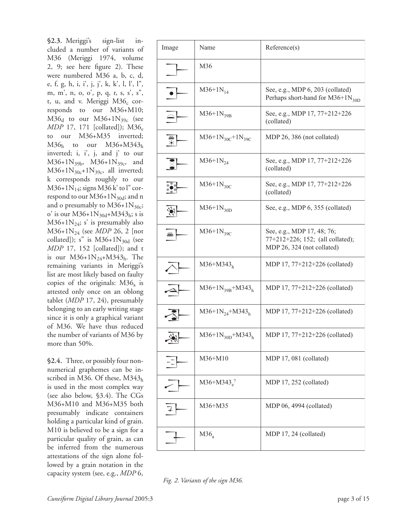**§2.3.** Meriggi's sign-list included a number of variants of M36 (Meriggi 1974, volume 2, 9; see here figure 2). These were numbered M36 a, b, c, d, e, f, g, h, i, i', j, j', k, k', l, l', l", m, m', n, o, o', p, q, r, s, s', s", t, u, and v. Meriggi  $M36_c$  corresponds to our M36+M10;  $M36<sub>d</sub>$  to our  $M36+1N<sub>39c</sub>$  (see *MDP* 17, 171 [collated]); M36<sub>e</sub> to our M36+M35 inverted;  $M36<sub>h</sub>$  to our  $M36+M343<sub>h</sub>$ inverted; i, i', j, and j' to our  $M36+1N_{39b}$ ,  $M36+1N_{39c}$ , and M36+1N<sub>30c</sub>+1N<sub>39c</sub>, all inverted; k corresponds roughly to our  $M36+1N_{14}$ ; signs M36 k' to l" correspond to our  $M36+1N_{30d}$ ; and n and o presumably to  $M36+1N_{30c}$ ; o' is our  $M36+1N_{30d}+M343_h$ ; s is  $M36+1N_{24}$ ; s' is presumably also M36+1N24 (see *MDP* 26, 2 [not collated]); s" is  $M36+1N_{30d}$  (see *MDP* 17, 152 [collated]); and t is our  $M36+1N_{24}+M343_h$ . The remaining variants in Meriggi's list are most likely based on faulty copies of the originals:  $M36_a$  is attested only once on an oblong tablet (*MDP* 17, 24), presumably belonging to an early writing stage since it is only a graphical variant of M36. We have thus reduced the number of variants of M36 by more than 50%.

**§2.4.** Three, or possibly four nonnumerical graphemes can be inscribed in M36. Of these,  $M343<sub>h</sub>$ is used in the most complex way (see also below, §3.4). The CGs M36+M10 and M36+M35 both presumably indicate containers holding a particular kind of grain. M10 is believed to be a sign for a particular quality of grain, as can be inferred from the numerous attestations of the sign alone followed by a grain notation in the capacity system (see, e.g., *MDP* 6,

| Image                    | Name                                     | Reference(s)                                                                                 |
|--------------------------|------------------------------------------|----------------------------------------------------------------------------------------------|
|                          | M36                                      |                                                                                              |
| $\bullet$                | $M36+1N_{14}$                            | See, e.g., MDP 6, 203 (collated)<br>Perhaps short-hand for $M36+1N_{30D}$                    |
| $\vert \triangle \vert$  | $M36+1N_{39B}$                           | See, e.g., MDP 17, 77+212+226<br>(collated)                                                  |
| $\frac{1}{2}$            | $M36+1N_{30}c+1N_{39}c$                  | MDP 26, 386 (not collated)                                                                   |
| <b>SI</b>                | $M36+1N_{24}$                            | See, e.g., MDP 17, 77+212+226<br>(collated)                                                  |
| <u> 양</u>                | $M36+1N_{30C}$                           | See, e.g., MDP 17, 77+212+226<br>(collated)                                                  |
| 滲                        | $M36+1N_{30D}$                           | See, e.g., MDP 6, 355 (collated)                                                             |
| $\trianglelefteq$        | $M36+1N_{39C}$                           | See, e.g., MDP 17, 48; 76;<br>77+212+226; 152; (all collated);<br>MDP 26, 324 (not collated) |
| $\overline{\mathcal{L}}$ | $M36+M343_h$                             | MDP 17, 77+212+226 (collated)                                                                |
| $\blacktriangle$         | $M36+1N_{39B}+M343_h$                    | MDP $17, 77+212+226$ (collated)                                                              |
|                          | $M36+1N_{24}+M343_h$                     | MDP 17, 77+212+226 (collated)                                                                |
| اخد<br>$\leq$            | M36+1N <sub>30D</sub> +M343 <sub>h</sub> | MDP 17, 77+212+226 (collated)                                                                |
|                          | M36+M10                                  | MDP 17, 081 (collated)                                                                       |
|                          | $M36+M343e2$                             | MDP 17, 252 (collated)                                                                       |
|                          | M36+M35                                  | MDP 06, 4994 (collated)                                                                      |
|                          | $M36_a$                                  | MDP 17, 24 (collated)                                                                        |

*Fig. 2. Variants of the sign M36.*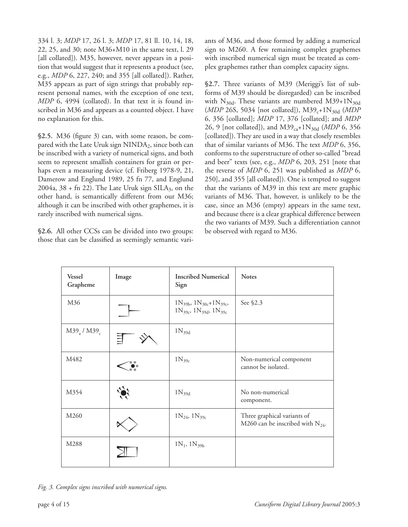334 l. 3; *MDP* 17, 26 l. 3; *MDP* 17, 81 ll. 10, 14, 18, 22, 25, and 30; note M36+M10 in the same text, l. 29 [all collated]). M35, however, never appears in a position that would suggest that it represents a product (see, e.g., *MDP* 6, 227, 240; and 355 [all collated]). Rather, M35 appears as part of sign strings that probably represent personal names, with the exception of one text, *MDP* 6, 4994 (collated). In that text it is found inscribed in M36 and appears as a counted object. I have no explanation for this.

**§2.5.** M36 (figure 3) can, with some reason, be compared with the Late Uruk sign  $NINDA<sub>2</sub>$ , since both can be inscribed with a variety of numerical signs, and both seem to represent smallish containers for grain or perhaps even a measuring device (cf. Friberg 1978-9, 21, Damerow and Englund 1989, 25 fn 77, and Englund 2004a,  $38 + \text{fn } 22$ ). The Late Uruk sign SILA<sub>3</sub>, on the other hand, is semantically different from our M36; although it can be inscribed with other graphemes, it is rarely inscribed with numerical signs.

**§2.6.** All other CCSs can be divided into two groups: those that can be classified as seemingly semantic variants of M36, and those formed by adding a numerical sign to M260. A few remaining complex graphemes with inscribed numerical sign must be treated as complex graphemes rather than complex capacity signs.

**§2.7.** Three variants of M39 (Meriggi's list of subforms of M39 should be disregarded) can be inscribed with  $N_{30d}$ . These variants are numbered M39+1 $N_{30d}$ (*MDP* 26S, 5034 [not collated]), M39<sub>c</sub>+1N<sub>30d</sub> (*MDP* 6, 356 [collated]; *MDP* 17, 376 [collated]; and *MDP*  26, 9 [not collated]), and M39<sub>ca</sub>+1N<sub>30d</sub> (*MDP* 6, 356 [collated]). They are used in a way that closely resembles that of similar variants of M36. The text *MDP* 6, 356, conforms to the superstructure of other so-called "bread and beer" texts (see, e.g., *MDP* 6, 203, 251 [note that the reverse of *MDP* 6, 251 was published as *MDP* 6, 250], and 355 [all collated]). One is tempted to suggest that the variants of M39 in this text are mere graphic variants of M36. That, however, is unlikely to be the case, since an M36 (empty) appears in the same text, and because there is a clear graphical difference between the two variants of M39. Such a differentiation cannot be observed with regard to M36.

| <b>Vessel</b><br>Grapheme     | Image | <b>Inscribed Numerical</b><br>Sign                                       | <b>Notes</b>                                                         |
|-------------------------------|-------|--------------------------------------------------------------------------|----------------------------------------------------------------------|
| M36                           |       | $1N_{39b}$ , $1N_{30c}+1N_{39c}$<br>$1N_{39c}$ , $1N_{39d}$ , $1N_{39c}$ | See \$2.3                                                            |
| $M39_{\rm a}$ / $M39_{\rm c}$ |       | $1N_{39d}$                                                               |                                                                      |
| M482                          |       | $1N_{39c}$                                                               | Non-numerical component<br>cannot be isolated.                       |
| M354                          |       | $1N_{39d}$                                                               | No non-numerical<br>component.                                       |
| M <sub>260</sub>              |       | $1N_{24}$ , $1N_{39c}$                                                   | Three graphical variants of<br>M260 can be inscribed with $N_{24}$ . |
| M288                          |       | $1N_1$ , $1N_{39b}$                                                      |                                                                      |

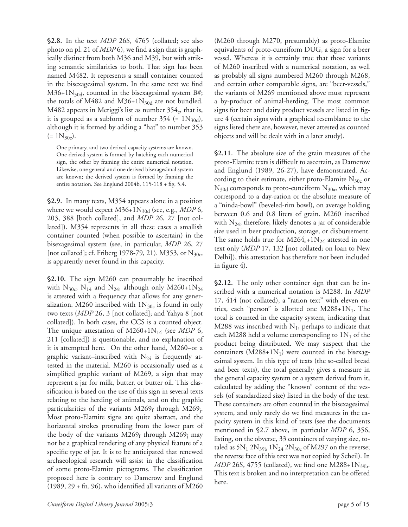**§2.8.** In the text *MDP* 26S, 4765 (collated; see also photo on pl. 21 of *MDP* 6), we find a sign that is graphically distinct from both M36 and M39, but with striking semantic similarities to both. That sign has been named M482. It represents a small container counted in the bisexagesimal system. In the same text we find  $M36+1N_{30d}$ , counted in the bisexagesimal system B#; the totals of M482 and M36+1 $N_{30d}$  are not bundled. M482 appears in Meriggi's list as number  $354<sub>e</sub>$ , that is, it is grouped as a subform of number  $354$  (=  $1N_{30d}$ ), although it is formed by adding a "hat" to number 353  $(= 1N_{30c}).$ 

One primary, and two derived capacity systems are known. One derived system is formed by hatching each numerical sign, the other by framing the entire numerical notation. Likewise, one general and one derived bisexagesimal system are known; the derived system is formed by framing the entire notation. See Englund 2004b, 115-118 + fig. 5.4.

**§2.9.** In many texts, M354 appears alone in a position where we would expect  $M36+1N_{30d}$  (see, e.g., *MDP* 6, 203, 388 [both collated], and *MDP* 26, 27 [not collated]). M354 represents in all these cases a smallish container counted (when possible to ascertain) in the bisexagesimal system (see, in particular, *MDP* 26, 27 [not collated]; cf. Friberg 1978-79, 21). M353, or  $N_{30c}$ , is apparently never found in this capacity.

**§2.10.** The sign M260 can presumably be inscribed with  $N_{30c}$ ,  $N_{14}$  and  $N_{24}$ , although only M260+1 $N_{24}$ is attested with a frequency that allows for any generalization. M260 inscribed with  $1N_{30c}$  is found in only two texts (*MDP* 26, 3 [not collated]; and Yahya 8 [not collated]). In both cases, the CCS is a counted object. The unique attestation of  $M260+1N_{14}$  (see *MDP* 6, 211 [collated]) is questionable, and no explanation of it is attempted here. On the other hand, M260–or a graphic variant–inscribed with  $N_{24}$  is frequently attested in the material. M260 is occasionally used as a simplified graphic variant of M269, a sign that may represent a jar for milk, butter, or butter oil. This classification is based on the use of this sign in several texts relating to the herding of animals, and on the graphic particularities of the variants  $M269<sub>f</sub>$  through  $M269<sub>j</sub>$ . Most proto-Elamite signs are quite abstract, and the horizontal strokes protruding from the lower part of the body of the variants  $M269<sub>f</sub>$  through  $M269<sub>i</sub>$  may not be a graphical rendering of any physical feature of a specific type of jar. It is to be anticipated that renewed archaeological research will assist in the classification of some proto-Elamite pictograms. The classification proposed here is contrary to Damerow and Englund  $(1989, 29 + \text{fn. } 96)$ , who identified all variants of M260

(M260 through M270, presumably) as proto-Elamite equivalents of proto-cuneiform DUG, a sign for a beer vessel. Whereas it is certainly true that those variants of M260 inscribed with a numerical notation, as well as probably all signs numbered M260 through M268, and certain other comparable signs, are "beer-vessels," the variants of M269 mentioned above must represent a by-product of animal-herding. The most common signs for beer and dairy product vessels are listed in figure 4 (certain signs with a graphical resemblance to the signs listed there are, however, never attested as counted objects and will be dealt with in a later study).

**§2.11.** The absolute size of the grain measures of the proto-Elamite texts is difficult to ascertain, as Damerow and Englund (1989, 26-27), have demonstrated. According to their estimate, either proto-Elamite  $N_{30c}$  or  $N_{30d}$  corresponds to proto-cuneiform  $N_{30a}$ , which may correspond to a day-ration or the absolute measure of a "ninda-bowl" (beveled-rim bowl), on average holding between 0.6 and 0.8 liters of grain. M260 inscribed with  $N_{24}$ , therefore, likely denotes a jar of considerable size used in beer production, storage, or disbursement. The same holds true for  $M264_a+1N_{24}$  attested in one text only (*MDP* 17, 132 [not collated; on loan to New Delhi]), this attestation has therefore not been included in figure 4).

**§2.12.** The only other container sign that can be inscribed with a numerical notation is M288. In *MDP*  17, 414 (not collated), a "ration text" with eleven entries, each "person" is allotted one  $M288+1N_1$ . The total is counted in the capacity system, indicating that M288 was inscribed with  $N_1$ , perhaps to indicate that each M288 held a volume corresponding to  $1N_1$  of the product being distributed. We may suspect that the containers  $(M288+1N_1)$  were counted in the bisexagesimal system. In this type of texts (the so-called bread and beer texts), the total generally gives a measure in the general capacity system or a system derived from it, calculated by adding the "known" content of the vessels (of standardized size) listed in the body of the text. These containers are often counted in the bisexagesimal system, and only rarely do we find measures in the capacity system in this kind of texts (see the documents mentioned in §2.7 above, in particular *MDP* 6, 356, listing, on the obverse, 33 containers of varying size, totaled as  $5N_1$   $2N_{39b}$   $1N_{24}$   $2N_{30c}$  of M297 on the reverse; the reverse face of this text was not copied by Scheil). In *MDP* 26S, 4755 (collated), we find one M288+1N<sub>39b</sub>. This text is broken and no interpretation can be offered here.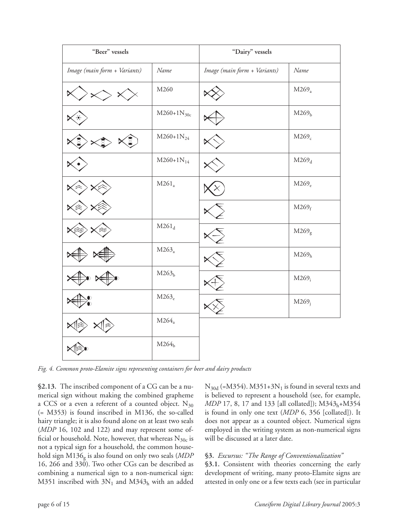| "Beer" vessels               |                   | "Dairy" vessels              |                   |  |
|------------------------------|-------------------|------------------------------|-------------------|--|
| Image (main form + Variants) | Name              | Image (main form + Variants) | Name              |  |
|                              | M260              |                              | $M269_a$          |  |
|                              | $M260+1N_{30c}$   |                              | M269 <sub>b</sub> |  |
|                              | $M260+1N_{24}$    |                              | $M269_c$          |  |
|                              | $M260+1N_{14}$    |                              | $M269_d$          |  |
|                              | $M261_a$          |                              | M269 <sub>e</sub> |  |
|                              |                   |                              | $M269_f$          |  |
|                              | $M261_d$          |                              | $M269_g$          |  |
|                              | $M263_a$          |                              | M269 <sub>h</sub> |  |
|                              | M263 <sub>b</sub> |                              | $M269_i$          |  |
|                              | M263 <sub>e</sub> |                              | $M269_i$          |  |
|                              | $M264_a$          |                              |                   |  |
|                              | M264 <sub>b</sub> |                              |                   |  |

*Fig. 4. Common proto-Elamite signs representing containers for beer and dairy products*

**§2.13.** The inscribed component of a CG can be a numerical sign without making the combined grapheme a CCS or a even a referent of a counted object.  $N_{30}$ (= M353) is found inscribed in M136, the so-called hairy triangle; it is also found alone on at least two seals (*MDP* 16, 102 and 122) and may represent some official or household. Note, however, that whereas  $N_{30c}$  is not a typical sign for a household, the common household sign M136g is also found on only two seals (*MDP*  16, 266 and 330). Two other CGs can be described as combining a numerical sign to a non-numerical sign: M351 inscribed with  $3N_1$  and M343<sub>h</sub> with an added

 $N_{30d}$  (=M354). M351+3 $N_1$  is found in several texts and is believed to represent a household (see, for example, *MDP* 17, 8, 17 and 133 [all collated]); M343<sub>h</sub>+M354 is found in only one text (*MDP* 6, 356 [collated]). It does not appear as a counted object. Numerical signs employed in the writing system as non-numerical signs will be discussed at a later date.

### **§3.** *Excursus: "The Range of Conventionalization"*

§3.1. Consistent with theories concerning the early development of writing, many proto-Elamite signs are attested in only one or a few texts each (see in particular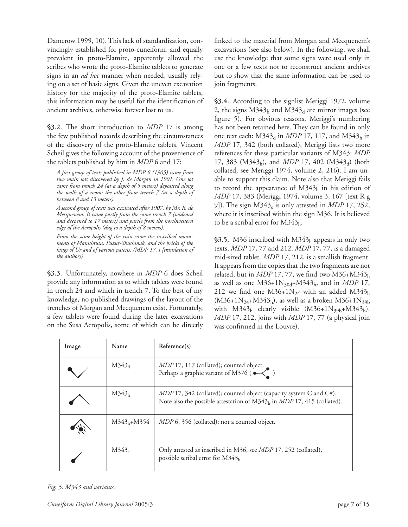Damerow 1999, 10). This lack of standardization, convincingly established for proto-cuneiform, and equally prevalent in proto-Elamite, apparently allowed the scribes who wrote the proto-Elamite tablets to generate signs in an *ad hoc* manner when needed, usually relying on a set of basic signs. Given the uneven excavation history for the majority of the proto-Elamite tablets, this information may be useful for the identification of ancient archives, otherwise forever lost to us.

**§3.2.** The short introduction to *MDP* 17 is among the few published records describing the circumstances of the discovery of the proto-Elamite tablets. Vincent Scheil gives the following account of the provenience of the tablets published by him in *MDP* 6 and 17:

*A fi rst group of texts published in MDP 6 (1905) came from two main lots discovered by J. de Morgan in 1901. One lot came from trench 24 (at a depth of 5 meters) deposited along the walls of a room; the other from trench 7 (at a depth of between 8 and 13 meters).* 

*A second group of texts was excavated after 1907, by Mr. R. de Mecquenem. It came partly from the same trench 7 (widened and deepened to 17 meters) and partly from the northwestern edge of the Acropolis (dug to a depth of 8 meters).* 

*From the same height of the ruin came the inscribed monuments of Manishtusu, Puzur-Shushinak, and the bricks of the kings of Ur and of various patesis. (MDP 17, i [translation of the author])*

**§3.3.** Unfortunately, nowhere in *MDP* 6 does Scheil provide any information as to which tablets were found in trench 24 and which in trench 7. To the best of my knowledge, no published drawings of the layout of the trenches of Morgan and Mecquenem exist. Fortunately, a few tablets were found during the later excavations on the Susa Acropolis, some of which can be directly

linked to the material from Morgan and Mecquenem's excavations (see also below). In the following, we shall use the knowledge that some signs were used only in one or a few texts not to reconstruct ancient archives but to show that the same information can be used to join fragments.

**§3.4.** According to the signlist Meriggi 1972, volume 2, the signs  $M343<sub>h</sub>$  and  $M343<sub>d</sub>$  are mirror images (see figure 5). For obvious reasons, Meriggi's numbering has not been retained here. They can be found in only one text each:  $M343_d$  in *MDP* 17, 117, and  $M343_h$  in *MDP* 17, 342 (both collated). Meriggi lists two more references for these particular variants of M343: *MDP*  17, 383 (M343h), and *MDP* 17, 402 (M343d) (both collated; see Meriggi 1974, volume 2, 216). I am unable to support this claim. Note also that Meriggi fails to record the appearance of  $M343<sub>h</sub>$  in his edition of *MDP* 17, 383 (Meriggi 1974, volume 3, 167 [text R g 9]). The sign  $M343_e$  is only attested in *MDP* 17, 252, where it is inscribed within the sign M36. It is believed to be a scribal error for  $M343<sub>h</sub>$ .

**§3.5.** M36 inscribed with M343h appears in only two texts, *MDP* 17, 77 and 212. *MDP* 17, 77, is a damaged mid-sized tablet. *MDP* 17, 212, is a smallish fragment. It appears from the copies that the two fragments are not related, but in *MDP* 17, 77, we find two M36+M343h as well as one  $M36+1N_{30d}+M343_h$ , and in *MDP* 17, 212 we find one  $M36+1N_{24}$  with an added  $M343<sub>h</sub>$  $(M36+1N_{24}+M343_h)$ , as well as a broken  $M36+1N_{39b}$ with  $M343_h$  clearly visible  $(M36+1N_{39b}+M343_h)$ . *MDP* 17, 212, joins with *MDP* 17, 77 (a physical join was confirmed in the Louvre).

| Image | Name              | Reference(s)                                                                                                                                          |
|-------|-------------------|-------------------------------------------------------------------------------------------------------------------------------------------------------|
|       | $M343_d$          | <i>MDP</i> 17, 117 (collated); counted object.<br>Perhaps a graphic variant of M376 (                                                                 |
|       | M343 <sub>h</sub> | MDP 17, 342 (collated); counted object (capacity system C and C#).<br>Note also the possible attestation of $M343h$ in <i>MDP</i> 17, 415 (collated). |
|       | $M343_h + M354$   | <i>MDP</i> 6, 356 (collated); not a counted object.                                                                                                   |
|       | M343 <sub>e</sub> | Only attested as inscribed in M36, see <i>MDP</i> 17, 252 (collated),<br>possible scribal error for $M343_h$                                          |

*Fig. 5. M343 and variants.*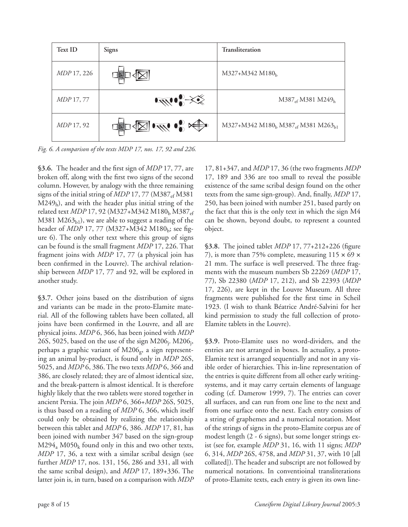

*Fig. 6. A comparison of the texts MDP 17, nos. 17, 92 and 226.* 

**§3.6.** The header and the first sign of *MDP* 17, 77, are broken off, along with the first two signs of the second column. However, by analogy with the three remaining signs of the initial string of *MDP* 17, 77 (M387<sub>ef</sub> M381)  $M249<sub>b</sub>$ ), and with the header plus initial string of the related text *MDP* 17, 92 (M327+M342 M180<sub>b</sub> M387<sub>ef</sub> M381 M263 $_{\rm bl}$ ), we are able to suggest a reading of the header of *MDP* 17, 77 (M327+M342 M180<sub>b</sub>; see figure 6). The only other text where this group of signs can be found is the small fragment *MDP* 17, 226. That fragment joins with *MDP* 17, 77 (a physical join has been confirmed in the Louvre). The archival relationship between *MDP* 17, 77 and 92, will be explored in another study.

**§3.7.** Other joins based on the distribution of signs and variants can be made in the proto-Elamite material. All of the following tablets have been collated, all joins have been confirmed in the Louvre, and all are physical joins. *MDP* 6, 366, has been joined with *MDP*  26S, 5025, based on the use of the sign  $M206$ <sub>i</sub>.  $M206$ <sub>i</sub>, perhaps a graphic variant of  $M206_g$ , a sign representing an animal by-product, is found only in *MDP* 26S, 5025, and *MDP* 6, 386. The two texts *MDP* 6, 366 and 386, are closely related; they are of almost identical size, and the break-pattern is almost identical. It is therefore highly likely that the two tablets were stored together in ancient Persia. The join *MDP* 6, 366+*MDP* 26S, 5025, is thus based on a reading of *MDP* 6, 366, which itself could only be obtained by realizing the relationship between this tablet and *MDP* 6, 386. *MDP* 17, 81, has been joined with number 347 based on the sign-group  $M294_a M050_k$  found only in this and two other texts, *MDP* 17, 36, a text with a similar scribal design (see further *MDP* 17, nos. 131, 156, 286 and 331, all with the same scribal design), and *MDP* 17, 189+336. The latter join is, in turn, based on a comparison with *MDP* 

17, 81+347, and *MDP* 17, 36 (the two fragments *MDP*  17, 189 and 336 are too small to reveal the possible existence of the same scribal design found on the other texts from the same sign-group). And, finally, *MDP* 17, 250, has been joined with number 251, based partly on the fact that this is the only text in which the sign M4 can be shown, beyond doubt, to represent a counted object.

**§3.8.** The joined tablet *MDP* 17, 77+212+226 (figure 7), is more than 75% complete, measuring  $115 \times 69 \times$ 21 mm. The surface is well preserved. The three fragments with the museum numbers Sb 22269 (*MDP* 17, 77), Sb 22380 (*MDP* 17, 212), and Sb 22393 (*MDP*  17, 226), are kept in the Louvre Museum. All three fragments were published for the first time in Scheil 1923. (I wish to thank Béatrice André-Salvini for her kind permission to study the full collection of proto-Elamite tablets in the Louvre).

**§3.9.** Proto-Elamite uses no word-dividers, and the entries are not arranged in boxes. In actuality, a proto-Elamite text is arranged sequentially and not in any visible order of hierarchies. This in-line representation of the entries is quite different from all other early writingsystems, and it may carry certain elements of language coding (cf. Damerow 1999, 7). The entries can cover all surfaces, and can run from one line to the next and from one surface onto the next. Each entry consists of a string of graphemes and a numerical notation. Most of the strings of signs in the proto-Elamite corpus are of modest length (2 - 6 signs), but some longer strings exist (see for, example *MDP* 31, 16, with 11 signs; *MDP*  6, 314, *MDP* 26S, 4758, and *MDP* 31, 37, with 10 [all collated]). The header and subscript are not followed by numerical notations. In conventioinal transliterations of proto-Elamite texts, each entry is given its own line-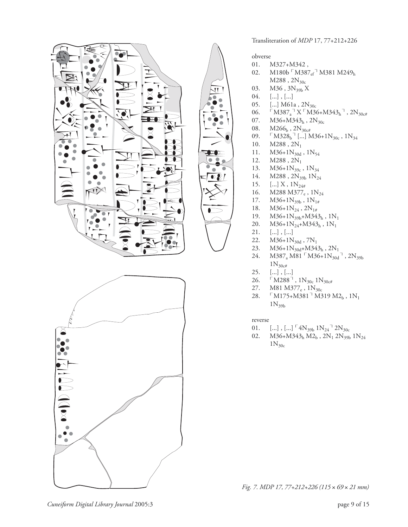



 $\mathbf{V}$  $\bullet$ 

Transliteration of *MDP* 17, 77+212+226

obverse

- 01. M327+M342 ,
- 02. M180b  $\lceil M387_{\text{ef}} \rceil M381 M249_{\text{h}}$
- $M288$  ,  $2\mathrm{N}_{\mathrm{30c}}$
- 03. M36,  $3N_{39b} X$ <br>04. [...], [...]
- $[...]$ ,  $[...]$
- 05. [...] M61a,  $2N_{30c}$
- 06.  $\begin{bmatrix} M387_a & N \end{bmatrix} \begin{bmatrix} M36 + M343_h \\ N30c \end{bmatrix}$ , 2N<sub>30c#</sub> 07.  $M36 + M343_h$ , 2N<sub>30c</sub>
- 07.  $M36+M343_h$ ,  $2N_{30c}$ <br>08.  $M266_h$ ,  $2N_{30c}$
- 08.  $M266_b$ ,  $2N_{30c#}$ <br>09.  $M328_b$ <sup>1</sup> [...]
- 09.  $[M328_b^{\text{T}}[...] M36+1N_{30c}$ ,  $1N_{34}$ <br>10.  $M288$ ,  $2N_1$
- $M288, 2N_1$
- 11.  $M36+1N_{30d}$ ,  $1N_{54}$ <br>12.  $M288$ ,  $2N_1$
- 12.  $M288, 2N_1$ <br>13.  $M36+1N_{39c}$
- 13.  $M36+1N_{39c}$ ,  $1N_{34}$ <br>14.  $M288$ ,  $2N_{39b}$ ,  $1N_{24}$
- 14. M288,  $2N_{39b}$   $1N_{24}$ <br>15. [...] X,  $1N_{24\#}$
- 15.  $\left[\ldots\right] X$ ,  $1N_{24\#}$ <br>16. M288 M377<sub>e</sub>
- M288 M377<sub>e</sub>, 1N<sub>24</sub>
- 17.  $M36+1N_{39b}$ ,  $1N_{1\#}$ <br>18.  $M36+1N_{24}$ ,  $2N_{1\#}$
- 18.  $M36+1N_{24}$ ,  $2N_{1#}$ <br>19.  $M36+1N_{39h}+M34$
- 19.  $M36+1N_{39b}+M343_h$ ,  $1N_1$ <br>20.  $M36+1N_{24}+M343_h$ ,  $1N_1$
- 20.  $M36+1N_{24}+M343_h$ ,  $1N_1$ <br>21. [...], [...]
- $[...]$ ,  $[...]$
- 22.  $M36+1N_{30d}$ , 7N<sub>1</sub><br>23.  $M36+1N_{30d}+M34$
- 23.  $M36+1N_{30d}+M343_h$ , 2N<sub>1</sub>
- 24. M387<sub>a</sub> M81  $[M36+1N_{30d}^{\dagger}, 2N_{39b}^{\dagger}]$  $1N_{30c}$
- 25. [...] , [...]
- 26.  $\Gamma$ M288<sup>-1</sup>, 1N<sub>30c</sub> 1N<sub>30c#</sub>
- 27. M81 M377<sub>e</sub>, 1N<sub>30c</sub><br>28. 「M175+M381<sup>-1</sup> M3
- $\lceil M175 + M381 \rceil M319 M2_b$ ,  $1N_1$  $1N_{39b}$

reverse

- 
- 01.  $\left[\ldots\right]$ ,  $\left[\ldots\right]$ <sup> $\left[4N_{39b} 1N_{24}^{-1} 2N_{30c}$ <br>02.  $M36+M343$ ,  $M2_b$ ,  $2N_1 2N_{39b}$ </sup>  $M36+M343_h M2_b$ ,  $2N_1 2N_{39b} 1N_{24}$  $1N_{30c}$

*Fig. 7. MDP 17, 77+212+226 (115* × *69* × *21 mm)*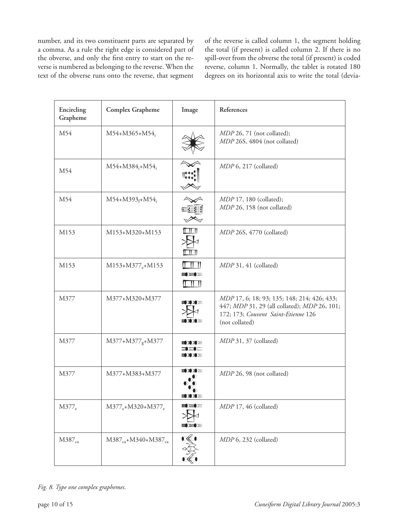number, and its two constituent parts are separated by a comma. As a rule the right edge is considered part of the obverse, and only the first entry to start on the reverse is numbered as belonging to the reverse. When the text of the obverse runs onto the reverse, that segment

of the reverse is called column 1, the segment holding the total (if present) is called column 2. If there is no spill-over from the obverse the total (if present) is coded reverse, column 1. Normally, the tablet is rotated 180 degrees on its horizontal axis to write the total (devia-

| Encircling<br>Grapheme | Complex Grapheme               | Image                | References                                                                                                                                           |
|------------------------|--------------------------------|----------------------|------------------------------------------------------------------------------------------------------------------------------------------------------|
| M54                    | $M54+M365+M54$ ;               |                      | MDP 26, 71 (not collated);<br>MDP 26S, 4804 (not collated)                                                                                           |
| M54                    | $M54+M384_i+M54_i$             |                      | MDP 6, 217 (collated)                                                                                                                                |
| M54                    | $M54+M393_f+M54_i$             |                      | MDP 17, 180 (collated);<br>MDP 26, 158 (not collated)                                                                                                |
| M153                   | M153+M320+M153                 | E II II              | MDP 26S, 4770 (collated)                                                                                                                             |
| M153                   | $M153+M377_{e}+M153$           | 17 H H<br>三三三三<br>ШU | MDP 31, 41 (collated)                                                                                                                                |
| M377                   | M377+M320+M377                 | EXXXE<br>≡ ਮ ਮ ⊨     | MDP 17, 6; 18; 93; 135; 148; 214; 426; 433;<br>447; MDP 31, 29 (all collated); MDP 26, 101;<br>172; 173; Couvent Saint-Etienne 126<br>(not collated) |
| M377                   | $M377+M377_g+M377$             | ≣ΣΣ)≡<br>ココニ<br>三人工三 | MDP 31, 37 (collated)                                                                                                                                |
| M377                   | M377+M383+M377                 | EXXE                 | MDP 26, 98 (not collated)                                                                                                                            |
| $M377_e$               | $M377_e + M320 + M377_e$       | 三三三<br>三三三           | MDP 17, 46 (collated)                                                                                                                                |
| M387 <sub>ca</sub>     | $M387_{ca} + M340 + M387_{ca}$ |                      | MDP 6, 232 (collated)                                                                                                                                |

*Fig. 8. Type one complex graphemes.*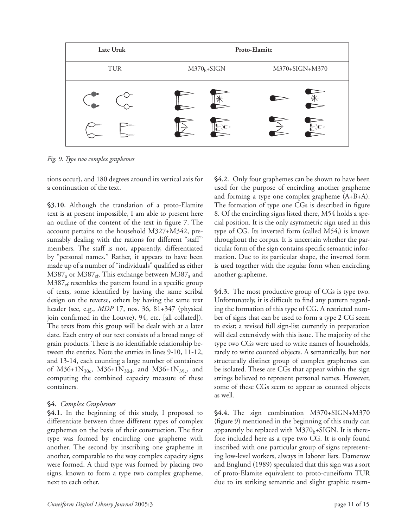| Late Uruk | Proto-Elamite |                           |  |
|-----------|---------------|---------------------------|--|
| TUR       | $M370b+SIGN$  | M370+SIGN+M370            |  |
|           |               | $\overline{\mathbf{R}}$ c |  |

*Fig. 9. Type two complex graphemes*

tions occur), and 180 degrees around its vertical axis for a continuation of the text.

**§3.10.** Although the translation of a proto-Elamite text is at present impossible, I am able to present here an outline of the content of the text in figure 7. The account pertains to the household M327+M342, presumably dealing with the rations for different "staff" members. The staff is not, apparently, differentiated by "personal names." Rather, it appears to have been made up of a number of "individuals" qualified as either  $M387<sub>a</sub>$  or  $M387<sub>ef</sub>$ . This exchange between  $M387<sub>a</sub>$  and M387<sub>ef</sub> resembles the pattern found in a specific group of texts, some identified by having the same scribal design on the reverse, others by having the same text header (see, e.g., *MDP* 17, nos. 36, 81+347 (physical join confirmed in the Louvre), 94, etc. [all collated]). The texts from this group will be dealt with at a later date. Each entry of our text consists of a broad range of grain products. There is no identifiable relationship between the entries. Note the entries in lines 9-10, 11-12, and 13-14, each counting a large number of containers of M36+1N<sub>30c</sub>, M36+1N<sub>30d</sub>, and M36+1N<sub>39c</sub>, and computing the combined capacity measure of these containers.

## **§4.** *Complex Graphemes*

**§4.1.** In the beginning of this study, I proposed to differentiate between three different types of complex graphemes on the basis of their construction. The first type was formed by encircling one grapheme with another. The second by inscribing one grapheme in another, comparable to the way complex capacity signs were formed. A third type was formed by placing two signs, known to form a type two complex grapheme, next to each other.

**§4.2.** Only four graphemes can be shown to have been used for the purpose of encircling another grapheme and forming a type one complex grapheme (A+B+A). The formation of type one CGs is described in figure 8. Of the encircling signs listed there, M54 holds a special position. It is the only asymmetric sign used in this type of CG. Its inverted form (called  $M54_i$ ) is known throughout the corpus. It is uncertain whether the particular form of the sign contains specific semantic information. Due to its particular shape, the inverted form is used together with the regular form when encircling another grapheme.

**§4.3.** The most productive group of CGs is type two. Unfortunately, it is difficult to find any pattern regarding the formation of this type of CG. A restricted number of signs that can be used to form a type 2 CG seem to exist; a revised full sign-list currently in preparation will deal extensively with this issue. The majority of the type two CGs were used to write names of households, rarely to write counted objects. A semantically, but not structurally distinct group of complex graphemes can be isolated. These are CGs that appear within the sign strings believed to represent personal names. However, some of these CGs seem to appear as counted objects as well.

**§4.4.** The sign combination M370+SIGN+M370 (figure 9) mentioned in the beginning of this study can apparently be replaced with  $M370<sub>b</sub>+SIGN.$  It is therefore included here as a type two CG. It is only found inscribed with one particular group of signs representing low-level workers, always in laborer lists. Damerow and Englund (1989) speculated that this sign was a sort of proto-Elamite equivalent to proto-cuneiform TUR due to its striking semantic and slight graphic resem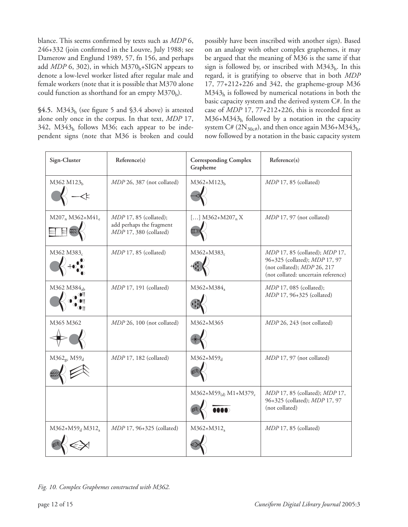blance. This seems confirmed by texts such as *MDP* 6, 246+332 (join confirmed in the Louvre, July 1988; see Damerow and Englund 1989, 57, fn 156, and perhaps add  $MDP$  6, 302), in which  $M370<sub>b</sub>+SIGN$  appears to denote a low-level worker listed after regular male and female workers (note that it is possible that M370 alone could function as shorthand for an empty  $M370<sub>b</sub>$ ).

**§4.5.** M343h (see figure 5 and §3.4 above) is attested alone only once in the corpus. In that text, *MDP* 17,  $342$ ,  $M343<sub>h</sub>$  follows M36; each appear to be independent signs (note that M36 is broken and could possibly have been inscribed with another sign). Based on an analogy with other complex graphemes, it may be argued that the meaning of M36 is the same if that sign is followed by, or inscribed with  $M343<sub>h</sub>$ . In this regard, it is gratifying to observe that in both *MDP*  17, 77+212+226 and 342, the grapheme-group M36  $M343<sub>h</sub>$  is followed by numerical notations in both the basic capacity system and the derived system C#. In the case of *MDP* 17, 77+212+226, this is recorded first as M36+M343h followed by a notation in the capacity system C# (2 $N_{30c}$ #), and then once again M36+M343<sub>h</sub>, now followed by a notation in the basic capacity system

| Sign-Cluster                            | Reference(s)                                                                   | <b>Corresponding Complex</b><br>Grapheme | Reference(s)                                                                                                                          |
|-----------------------------------------|--------------------------------------------------------------------------------|------------------------------------------|---------------------------------------------------------------------------------------------------------------------------------------|
| M362 M123 <sub>b</sub>                  | MDP 26, 387 (not collated)                                                     | $M362+M123_h$                            | $MDP$ 17, 85 (collated)                                                                                                               |
| $M207_n M362 + M41_e$                   | $MDP$ 17, 85 (collated);<br>add perhaps the fragment<br>MDP 17, 380 (collated) | [] $M362+M207$ <sub>n</sub> X            | MDP 17, 97 (not collated)                                                                                                             |
| M362 M383                               | $MDP$ 17, 85 (collated)                                                        | $M362+M383_c$                            | MDP 17, 85 (collated); MDP 17,<br>96+325 (collated); MDP 17, 97<br>(not collated); MDP 26, 217<br>(not collated: uncertain reference) |
| M362 M384 <sub>ab</sub>                 | $MDP$ 17, 191 (collated)                                                       | M362+M384 <sub>a</sub>                   | <i>MDP</i> 17, 085 (collated);<br><i>MDP</i> 17, 96+325 (collated)                                                                    |
| M365 M362                               | MDP 26, 100 (not collated)                                                     | M362+M365                                | MDP 26, 243 (not collated)                                                                                                            |
| $M362_{gc}M59_{d}$                      | $MDP$ 17, 182 (collated)                                                       | $M362+M59_d$                             | MDP 17, 97 (not collated)                                                                                                             |
|                                         |                                                                                | $M362+M59_{(d)} M1+M379_c$<br>mo         | MDP 17, 85 (collated); MDP 17,<br>96+325 (collated); MDP 17, 97<br>(not collated)                                                     |
| M362+M59 <sub>d</sub> M312 <sub>a</sub> | <i>MDP</i> 17, 96+325 (collated)                                               | $M362+M312_a$                            | $MDP$ 17, 85 (collated)                                                                                                               |

*Fig. 10. Complex Graphemes constructed with M362.*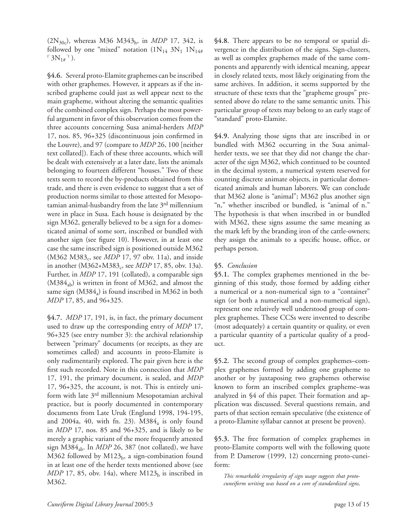(2N30c), whereas M36 M343h, in *MDP* 17, 342, is followed by one "mixed" notation  $(1N_{14} 3N_1 1N_{14\#})$  $\lceil 3N_{1\#} \rceil$ ).

**§4.6.** Several proto-Elamite graphemes can be inscribed with other graphemes. However, it appears as if the inscribed grapheme could just as well appear next to the main grapheme, without altering the semantic qualities of the combined complex sign. Perhaps the most powerful argument in favor of this observation comes from the three accounts concerning Susa animal-herders *MDP*  17, nos. 85, 96+325 (discontinuous join confirmed in the Louvre), and 97 (compare to *MDP* 26, 100 [neither text collated]). Each of these three accounts, which will be dealt with extensively at a later date, lists the animals belonging to fourteen different "houses." Two of these texts seem to record the by-products obtained from this trade, and there is even evidence to suggest that a set of production norms similar to those attested for Mesopotamian animal-husbandry from the late 3rd millennium were in place in Susa. Each house is designated by the sign M362, generally believed to be a sign for a domesticated animal of some sort, inscribed or bundled with another sign (see figure 10). However, in at least one case the same inscribed sign is positioned outside M362 (M362 M383<sub>c</sub>, see *MDP* 17, 97 obv. 11a), and inside in another (M362+M383<sub>c</sub>, see *MDP* 17, 85, obv. 13a). Further, in *MDP* 17, 191 (collated), a comparable sign  $(M384<sub>ab</sub>)$  is written in front of M362, and almost the same sign  $(M384_a)$  is found inscribed in M362 in both *MDP* 17, 85, and 96+325.

**§4.7.** *MDP* 17, 191, is, in fact, the primary document used to draw up the corresponding entry of *MDP* 17, 96+325 (see entry number 3): the archival relationship between "primary" documents (or receipts, as they are sometimes called) and accounts in proto-Elamite is only rudimentarily explored. The pair given here is the first such recorded. Note in this connection that *MDP*  17, 191, the primary document, is sealed, and *MDP*  17, 96+325, the account, is not. This is entirely uniform with late 3rd millennium Mesopotamian archival practice, but is poorly documented in contemporary documents from Late Uruk (Englund 1998, 194-195, and 2004a, 40, with fn. 23).  $M384_a$  is only found in *MDP* 17, nos. 85 and 96+325, and is likely to be merely a graphic variant of the more frequently attested sign M384ab. In *MDP* 26, 387 (not collated), we have M362 followed by M123 $_b$ , a sign-combination found in at least one of the herder texts mentioned above (see  $MDP$  17, 85, obv. 14a), where  $M123<sub>b</sub>$  is inscribed in M362.

**§4.8.** There appears to be no temporal or spatial divergence in the distribution of the signs. Sign-clusters, as well as complex graphemes made of the same components and apparently with identical meaning, appear in closely related texts, most likely originating from the same archives. In addition, it seems supported by the structure of these texts that the "grapheme groups" presented above do relate to the same semantic units. This particular group of texts may belong to an early stage of "standard" proto-Elamite.

**§4.9.** Analyzing those signs that are inscribed in or bundled with M362 occurring in the Susa animalherder texts, we see that they did not change the character of the sign M362, which continued to be counted in the decimal system, a numerical system reserved for counting discrete animate objects, in particular domesticated animals and human laborers. We can conclude that M362 alone is "animal"; M362 plus another sign "n," whether inscribed or bundled, is "animal of n." The hypothesis is that when inscribed in or bundled with M362, these signs assume the same meaning as the mark left by the branding iron of the cattle-owners; they assign the animals to a specific house, office, or perhaps person.

# **§5.** *Conclusion*

**§5.1.** The complex graphemes mentioned in the beginning of this study, those formed by adding either a numerical or a non-numerical sign to a "container" sign (or both a numerical and a non-numerical sign), represent one relatively well understood group of complex graphemes. These CCSs were invented to describe (most adequately) a certain quantity or quality, or even a particular quantity of a particular quality of a product.

**§5.2.** The second group of complex graphemes–complex graphemes formed by adding one grapheme to another or by juxtaposing two graphemes otherwise known to form an inscribed complex grapheme–was analyzed in §4 of this paper. Their formation and application was discussed. Several questions remain, and parts of that section remain speculative (the existence of a proto-Elamite syllabar cannot at present be proven).

**§5.3.** The free formation of complex graphemes in proto-Elamite comports well with the following quote from P. Damerow (1999, 12) concerning proto-cuneiform:

*This remarkable irregularity of sign usage suggests that protocuneiform writing was based on a core of standardized signs,*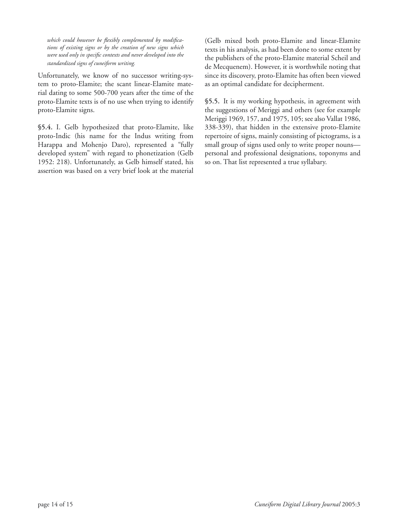which could however be flexibly complemented by modifica*tions of existing signs or by the creation of new signs which were used only in specific contexts and never developed into the standardized signs of cuneiform writing.*

Unfortunately, we know of no successor writing-system to proto-Elamite; the scant linear-Elamite material dating to some 500-700 years after the time of the proto-Elamite texts is of no use when trying to identify proto-Elamite signs.

**§5.4.** I. Gelb hypothesized that proto-Elamite, like proto-Indic (his name for the Indus writing from Harappa and Mohenjo Daro), represented a "fully developed system" with regard to phonetization (Gelb 1952: 218). Unfortunately, as Gelb himself stated, his assertion was based on a very brief look at the material

(Gelb mixed both proto-Elamite and linear-Elamite texts in his analysis, as had been done to some extent by the publishers of the proto-Elamite material Scheil and de Mecquenem). However, it is worthwhile noting that since its discovery, proto-Elamite has often been viewed as an optimal candidate for decipherment.

**§5.5.** It is my working hypothesis, in agreement with the suggestions of Meriggi and others (see for example Meriggi 1969, 157, and 1975, 105; see also Vallat 1986, 338-339), that hidden in the extensive proto-Elamite repertoire of signs, mainly consisting of pictograms, is a small group of signs used only to write proper nouns personal and professional designations, toponyms and so on. That list represented a true syllabary.